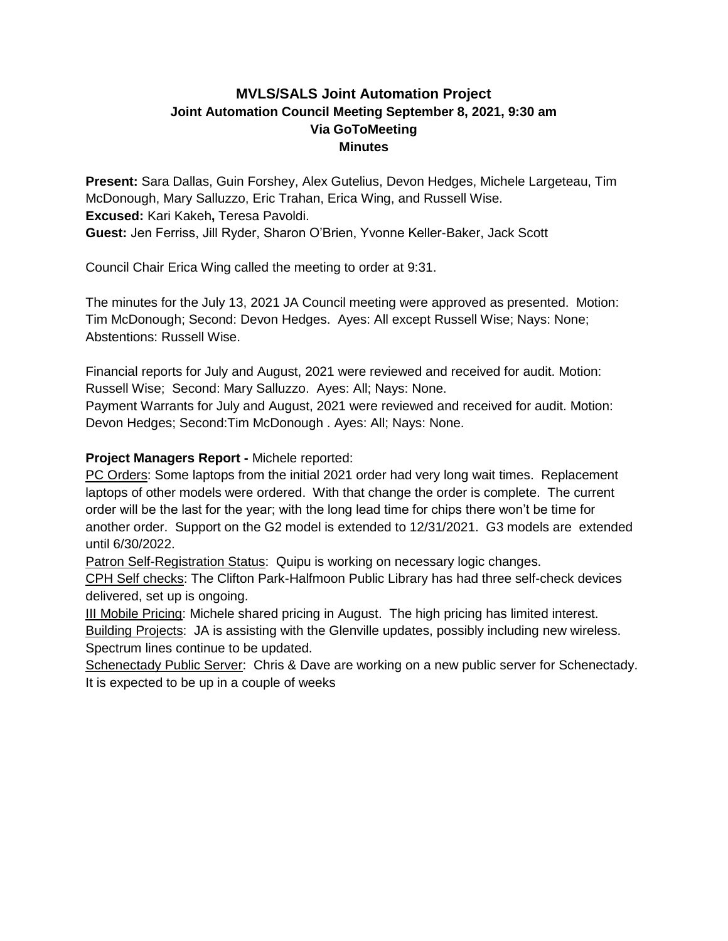# **MVLS/SALS Joint Automation Project Joint Automation Council Meeting September 8, 2021, 9:30 am Via GoToMeeting Minutes**

**Present:** Sara Dallas, Guin Forshey, Alex Gutelius, Devon Hedges, Michele Largeteau, Tim McDonough, Mary Salluzzo, Eric Trahan, Erica Wing, and Russell Wise. **Excused:** Kari Kakeh**,** Teresa Pavoldi. **Guest:** Jen Ferriss, Jill Ryder, Sharon O'Brien, Yvonne Keller-Baker, Jack Scott

Council Chair Erica Wing called the meeting to order at 9:31.

The minutes for the July 13, 2021 JA Council meeting were approved as presented. Motion: Tim McDonough; Second: Devon Hedges. Ayes: All except Russell Wise; Nays: None; Abstentions: Russell Wise.

Financial reports for July and August, 2021 were reviewed and received for audit. Motion: Russell Wise; Second: Mary Salluzzo. Ayes: All; Nays: None.

Payment Warrants for July and August, 2021 were reviewed and received for audit. Motion: Devon Hedges; Second:Tim McDonough . Ayes: All; Nays: None.

## **Project Managers Report -** Michele reported:

PC Orders: Some laptops from the initial 2021 order had very long wait times. Replacement laptops of other models were ordered. With that change the order is complete. The current order will be the last for the year; with the long lead time for chips there won't be time for another order. Support on the G2 model is extended to 12/31/2021. G3 models are extended until 6/30/2022.

Patron Self-Registration Status: Quipu is working on necessary logic changes.

CPH Self checks: The Clifton Park-Halfmoon Public Library has had three self-check devices delivered, set up is ongoing.

III Mobile Pricing: Michele shared pricing in August. The high pricing has limited interest. Building Projects: JA is assisting with the Glenville updates, possibly including new wireless. Spectrum lines continue to be updated.

Schenectady Public Server: Chris & Dave are working on a new public server for Schenectady. It is expected to be up in a couple of weeks